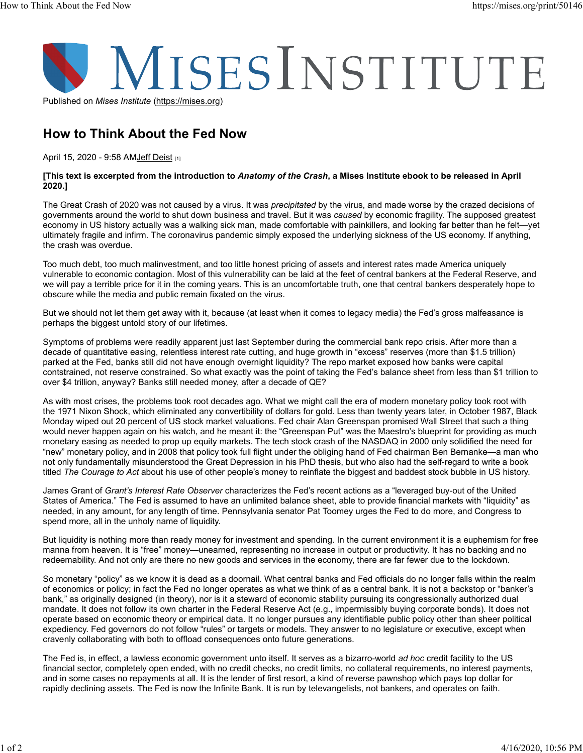

How to Think About the Fed Now

April 15, 2020 - 9:58 AMJeff Deist [1]

## [This text is excerpted from the introduction to Anatomy of the Crash, a Mises Institute ebook to be released in April 2020.]

The Great Crash of 2020 was not caused by a virus. It was *precipitated* by the virus, and made worse by the crazed decisions of governments around the world to shut down business and travel. But it was caused by economic fragility. The supposed greatest economy in US history actually was a walking sick man, made comfortable with painkillers, and looking far better than he felt—yet ultimately fragile and infirm. The coronavirus pandemic simply exposed the underlying sickness of the US economy. If anything, the crash was overdue.

Too much debt, too much malinvestment, and too little honest pricing of assets and interest rates made America uniquely vulnerable to economic contagion. Most of this vulnerability can be laid at the feet of central bankers at the Federal Reserve, and we will pay a terrible price for it in the coming years. This is an uncomfortable truth, one that central bankers desperately hope to obscure while the media and public remain fixated on the virus.

But we should not let them get away with it, because (at least when it comes to legacy media) the Fed's gross malfeasance is perhaps the biggest untold story of our lifetimes.

Symptoms of problems were readily apparent just last September during the commercial bank repo crisis. After more than a decade of quantitative easing, relentless interest rate cutting, and huge growth in "excess" reserves (more than \$1.5 trillion) parked at the Fed, banks still did not have enough overnight liquidity? The repo market exposed how banks were capital contstrained, not reserve constrained. So what exactly was the point of taking the Fed's balance sheet from less than \$1 trillion to over \$4 trillion, anyway? Banks still needed money, after a decade of QE?

As with most crises, the problems took root decades ago. What we might call the era of modern monetary policy took root with the 1971 Nixon Shock, which eliminated any convertibility of dollars for gold. Less than twenty years later, in October 1987, Black Monday wiped out 20 percent of US stock market valuations. Fed chair Alan Greenspan promised Wall Street that such a thing would never happen again on his watch, and he meant it: the "Greenspan Put" was the Maestro's blueprint for providing as much monetary easing as needed to prop up equity markets. The tech stock crash of the NASDAQ in 2000 only solidified the need for "new" monetary policy, and in 2008 that policy took full flight under the obliging hand of Fed chairman Ben Bernanke—a man who not only fundamentally misunderstood the Great Depression in his PhD thesis, but who also had the self-regard to write a book titled The Courage to Act about his use of other people's money to reinflate the biggest and baddest stock bubble in US history.

James Grant of Grant's Interest Rate Observer characterizes the Fed's recent actions as a "leveraged buy-out of the United States of America." The Fed is assumed to have an unlimited balance sheet, able to provide financial markets with "liquidity" as needed, in any amount, for any length of time. Pennsylvania senator Pat Toomey urges the Fed to do more, and Congress to spend more, all in the unholy name of liquidity.

But liquidity is nothing more than ready money for investment and spending. In the current environment it is a euphemism for free manna from heaven. It is "free" money—unearned, representing no increase in output or productivity. It has no backing and no redeemability. And not only are there no new goods and services in the economy, there are far fewer due to the lockdown.

So monetary "policy" as we know it is dead as a doornail. What central banks and Fed officials do no longer falls within the realm of economics or policy; in fact the Fed no longer operates as what we think of as a central bank. It is not a backstop or "banker's bank," as originally designed (in theory), nor is it a steward of economic stability pursuing its congressionally authorized dual mandate. It does not follow its own charter in the Federal Reserve Act (e.g., impermissibly buying corporate bonds). It does not operate based on economic theory or empirical data. It no longer pursues any identifiable public policy other than sheer political expediency. Fed governors do not follow "rules" or targets or models. They answer to no legislature or executive, except when cravenly collaborating with both to offload consequences onto future generations.

The Fed is, in effect, a lawless economic government unto itself. It serves as a bizarro-world ad hoc credit facility to the US financial sector, completely open ended, with no credit checks, no credit limits, no collateral requirements, no interest payments, and in some cases no repayments at all. It is the lender of first resort, a kind of reverse pawnshop which pays top dollar for rapidly declining assets. The Fed is now the Infinite Bank. It is run by televangelists, not bankers, and operates on faith.